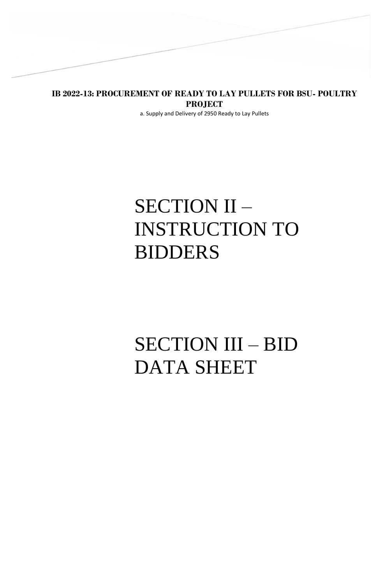**IB 2022-13: PROCUREMENT OF READY TO LAY PULLETS FOR BSU- POULTRY PROJECT**

a. Supply and Delivery of 2950 Ready to Lay Pullets

# SECTION II – INSTRUCTION TO BIDDERS

# SECTION III – BID DATA SHEET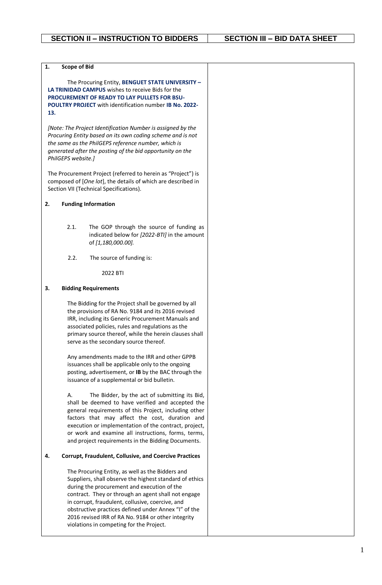| 1.  |                     |                                                                                                                           |  |
|-----|---------------------|---------------------------------------------------------------------------------------------------------------------------|--|
|     | <b>Scope of Bid</b> | The Procuring Entity, BENGUET STATE UNIVERSITY -                                                                          |  |
|     |                     | <b>LA TRINIDAD CAMPUS</b> wishes to receive Bids for the                                                                  |  |
|     |                     | PROCUREMENT OF READY TO LAY PULLETS FOR BSU-                                                                              |  |
|     |                     | POULTRY PROJECT with identification number IB No. 2022-                                                                   |  |
| 13. |                     |                                                                                                                           |  |
|     |                     |                                                                                                                           |  |
|     |                     | [Note: The Project Identification Number is assigned by the<br>Procuring Entity based on its own coding scheme and is not |  |
|     |                     | the same as the PhilGEPS reference number, which is                                                                       |  |
|     |                     | generated after the posting of the bid opportunity on the                                                                 |  |
|     | PhilGEPS website.]  |                                                                                                                           |  |
|     |                     |                                                                                                                           |  |
|     |                     | The Procurement Project (referred to herein as "Project") is                                                              |  |
|     |                     | composed of [One lot], the details of which are described in<br>Section VII (Technical Specifications).                   |  |
|     |                     |                                                                                                                           |  |
| 2.  |                     | <b>Funding Information</b>                                                                                                |  |
|     |                     |                                                                                                                           |  |
|     |                     |                                                                                                                           |  |
|     | 2.1.                | The GOP through the source of funding as<br>indicated below for [2022-BTI] in the amount                                  |  |
|     |                     | of [1,180,000.00].                                                                                                        |  |
|     |                     |                                                                                                                           |  |
|     | 2.2.                | The source of funding is:                                                                                                 |  |
|     |                     | 2022 BTI                                                                                                                  |  |
|     |                     |                                                                                                                           |  |
| 3.  |                     | <b>Bidding Requirements</b>                                                                                               |  |
|     |                     | The Bidding for the Project shall be governed by all                                                                      |  |
|     |                     | the provisions of RA No. 9184 and its 2016 revised                                                                        |  |
|     |                     | IRR, including its Generic Procurement Manuals and                                                                        |  |
|     |                     | associated policies, rules and regulations as the                                                                         |  |
|     |                     | primary source thereof, while the herein clauses shall<br>serve as the secondary source thereof.                          |  |
|     |                     |                                                                                                                           |  |
|     |                     | Any amendments made to the IRR and other GPPB                                                                             |  |
|     |                     | issuances shall be applicable only to the ongoing                                                                         |  |
|     |                     | posting, advertisement, or IB by the BAC through the                                                                      |  |
|     |                     | issuance of a supplemental or bid bulletin.                                                                               |  |
|     | А.                  | The Bidder, by the act of submitting its Bid,                                                                             |  |
|     |                     | shall be deemed to have verified and accepted the                                                                         |  |
|     |                     | general requirements of this Project, including other                                                                     |  |
|     |                     | factors that may affect the cost, duration and                                                                            |  |
|     |                     | execution or implementation of the contract, project,<br>or work and examine all instructions, forms, terms,              |  |
|     |                     | and project requirements in the Bidding Documents.                                                                        |  |
|     |                     |                                                                                                                           |  |
| 4.  |                     | <b>Corrupt, Fraudulent, Collusive, and Coercive Practices</b>                                                             |  |
|     |                     | The Procuring Entity, as well as the Bidders and                                                                          |  |
|     |                     | Suppliers, shall observe the highest standard of ethics                                                                   |  |
|     |                     | during the procurement and execution of the                                                                               |  |
|     |                     | contract. They or through an agent shall not engage                                                                       |  |
|     |                     | in corrupt, fraudulent, collusive, coercive, and<br>obstructive practices defined under Annex "I" of the                  |  |
|     |                     | 2016 revised IRR of RA No. 9184 or other integrity                                                                        |  |
|     |                     | violations in competing for the Project.                                                                                  |  |
|     |                     |                                                                                                                           |  |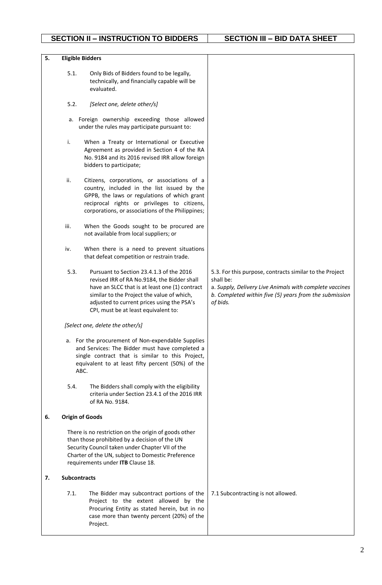## **SECTION II – INSTRUCTION TO BIDDERS SECTION III – BID DATA SHEET**

| 5. |                     | <b>Eligible Bidders</b>                                                                                                                                                                                                                                                       |                                                                                                                                                                                                       |
|----|---------------------|-------------------------------------------------------------------------------------------------------------------------------------------------------------------------------------------------------------------------------------------------------------------------------|-------------------------------------------------------------------------------------------------------------------------------------------------------------------------------------------------------|
|    | 5.1.                | Only Bids of Bidders found to be legally,<br>technically, and financially capable will be<br>evaluated.                                                                                                                                                                       |                                                                                                                                                                                                       |
|    | 5.2.                | [Select one, delete other/s]                                                                                                                                                                                                                                                  |                                                                                                                                                                                                       |
|    |                     | a. Foreign ownership exceeding those allowed<br>under the rules may participate pursuant to:                                                                                                                                                                                  |                                                                                                                                                                                                       |
|    | i.                  | When a Treaty or International or Executive<br>Agreement as provided in Section 4 of the RA<br>No. 9184 and its 2016 revised IRR allow foreign<br>bidders to participate;                                                                                                     |                                                                                                                                                                                                       |
|    | ii.                 | Citizens, corporations, or associations of a<br>country, included in the list issued by the<br>GPPB, the laws or regulations of which grant<br>reciprocal rights or privileges to citizens,<br>corporations, or associations of the Philippines;                              |                                                                                                                                                                                                       |
|    | iii.                | When the Goods sought to be procured are<br>not available from local suppliers; or                                                                                                                                                                                            |                                                                                                                                                                                                       |
|    | iv.                 | When there is a need to prevent situations<br>that defeat competition or restrain trade.                                                                                                                                                                                      |                                                                                                                                                                                                       |
|    | 5.3.                | Pursuant to Section 23.4.1.3 of the 2016<br>revised IRR of RA No.9184, the Bidder shall<br>have an SLCC that is at least one (1) contract<br>similar to the Project the value of which,<br>adjusted to current prices using the PSA's<br>CPI, must be at least equivalent to: | 5.3. For this purpose, contracts similar to the Project<br>shall be:<br>a. Supply, Delivery Live Animals with complete vaccines<br>b. Completed within five (5) years from the submission<br>of bids. |
|    |                     | [Select one, delete the other/s]                                                                                                                                                                                                                                              |                                                                                                                                                                                                       |
|    |                     | a. For the procurement of Non-expendable Supplies<br>and Services: The Bidder must have completed a<br>single contract that is similar to this Project,<br>equivalent to at least fifty percent (50%) of the<br>ABC.                                                          |                                                                                                                                                                                                       |
|    | 5.4.                | The Bidders shall comply with the eligibility<br>criteria under Section 23.4.1 of the 2016 IRR<br>of RA No. 9184.                                                                                                                                                             |                                                                                                                                                                                                       |
| 6. |                     | <b>Origin of Goods</b>                                                                                                                                                                                                                                                        |                                                                                                                                                                                                       |
|    |                     | There is no restriction on the origin of goods other<br>than those prohibited by a decision of the UN<br>Security Council taken under Chapter VII of the<br>Charter of the UN, subject to Domestic Preference<br>requirements under ITB Clause 18.                            |                                                                                                                                                                                                       |
| 7. | <b>Subcontracts</b> |                                                                                                                                                                                                                                                                               |                                                                                                                                                                                                       |
|    | 7.1.                | The Bidder may subcontract portions of the<br>Project to the extent allowed by the<br>Procuring Entity as stated herein, but in no<br>case more than twenty percent (20%) of the<br>Project.                                                                                  | 7.1 Subcontracting is not allowed.                                                                                                                                                                    |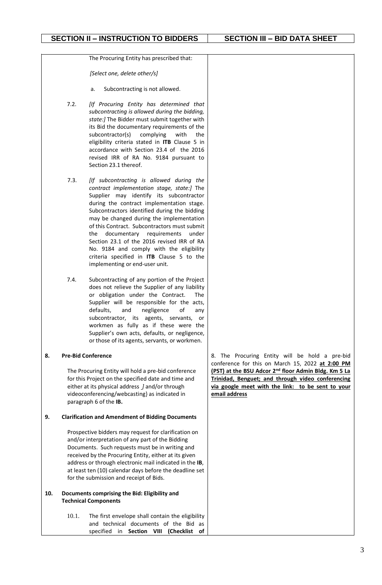The Procuring Entity has prescribed that:

*[Select one, delete other/s]*

- a. Subcontracting is not allowed.
- 7.2. *[If Procuring Entity has determined that subcontracting is allowed during the bidding, state:]* The Bidder must submit together with its Bid the documentary requirements of the subcontractor(s) complying with the eligibility criteria stated in **ITB** Clause 5 in accordance with Section 23.4 of the 2016 revised IRR of RA No. 9184 pursuant to Section 23.1 thereof.
- 7.3. *[If subcontracting is allowed during the contract implementation stage, state:]* The Supplier may identify its subcontractor during the contract implementation stage. Subcontractors identified during the bidding may be changed during the implementation of this Contract. Subcontractors must submit the documentary requirements under Section 23.1 of the 2016 revised IRR of RA No. 9184 and comply with the eligibility criteria specified in **ITB** Clause 5 to the implementing or end-user unit.
- 7.4. Subcontracting of any portion of the Project does not relieve the Supplier of any liability or obligation under the Contract. The Supplier will be responsible for the acts, defaults, and negligence of any subcontractor, its agents, servants, or workmen as fully as if these were the Supplier's own acts, defaults, or negligence, or those of its agents, servants, or workmen.

#### **8. Pre-Bid Conference**

The Procuring Entity will hold a pre-bid conference for this Project on the specified date and time and either at its physical address *]* and/or through videoconferencing/webcasting} as indicated in paragraph 6 of the **IB.**

#### **9. Clarification and Amendment of Bidding Documents**

Prospective bidders may request for clarification on and/or interpretation of any part of the Bidding Documents. Such requests must be in writing and received by the Procuring Entity, either at its given address or through electronic mail indicated in the **IB**, at least ten (10) calendar days before the deadline set for the submission and receipt of Bids.

- **10. Documents comprising the Bid: Eligibility and Technical Components**
	- 10.1. The first envelope shall contain the eligibility and technical documents of the Bid as specified in **Section VIII (Checklist of**

8. The Procuring Entity will be hold a pre-bid conference for this on March 15, 2022 **at 2:00 PM (PST) at the BSU Adcor 2nd floor Admin Bldg. Km 5 La Trinidad, Benguet; and through video conferencing via google meet with the link: to be sent to your email address**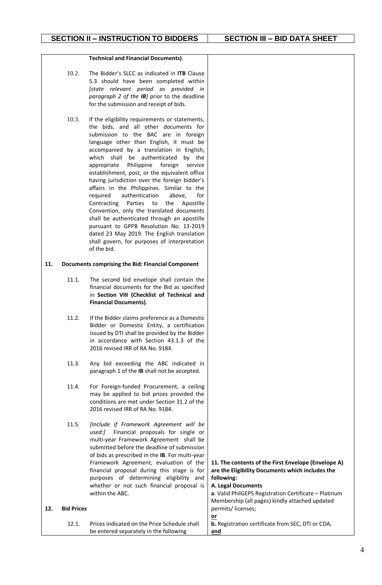#### **Technical and Financial Documents)**.

- 10.2. The Bidder's SLCC as indicated in **ITB** Clause 5.3 should have been completed within *[state relevant period as provided in paragraph 2 of the IB]* prior to the deadline for the submission and receipt of bids.
- 10.3. If the eligibility requirements or statements, the bids, and all other documents for submission to the BAC are in foreign language other than English, it must be accompanied by a translation in English, which shall be authenticated by the appropriate Philippine foreign service establishment, post, or the equivalent office having jurisdiction over the foreign bidder's affairs in the Philippines. Similar to the required authentication above, for Contracting Parties to the Apostille Convention, only the translated documents shall be authenticated through an apostille pursuant to GPPB Resolution No. 13-2019 dated 23 May 2019. The English translation shall govern, for purposes of interpretation of the bid.

#### **11. Documents comprising the Bid: Financial Component**

- 11.1. The second bid envelope shall contain the financial documents for the Bid as specified in **Section VIII (Checklist of Technical and Financial Documents)**.
- 11.2. If the Bidder claims preference as a Domestic Bidder or Domestic Entity, a certification issued by DTI shall be provided by the Bidder in accordance with Section 43.1.3 of the 2016 revised IRR of RA No. 9184.
- 11.3. Any bid exceeding the ABC indicated in paragraph 1 of the **IB** shall not be accepted.
- 11.4. For Foreign-funded Procurement, a ceiling may be applied to bid prices provided the conditions are met under Section 31.2 of the 2016 revised IRR of RA No. 9184.
- 11.5. *[Include if Framework Agreement will be used:]* Financial proposals for single or multi-year Framework Agreement shall be submitted before the deadline of submission of bids as prescribed in the **IB**. For multi-year Framework financial p purposes whether of within the

**12. Bid Prices**

|          | Framework Agreement, evaluation of the<br>financial proposal during this stage is for<br>purposes of determining eligibility<br>and | 11. The contents of the First Envelope (Envelope A)<br>are the Eligibility Documents which includes the<br>following: |
|----------|-------------------------------------------------------------------------------------------------------------------------------------|-----------------------------------------------------------------------------------------------------------------------|
|          | whether or not such financial proposal is                                                                                           | <b>A. Legal Documents</b>                                                                                             |
|          | within the ABC.                                                                                                                     | a. Valid PhilGEPS Registration Certificate - Platinum                                                                 |
|          |                                                                                                                                     | Membership (all pages) kindly attached updated                                                                        |
| d Prices |                                                                                                                                     | permits/licenses;                                                                                                     |
|          |                                                                                                                                     | <u>or</u>                                                                                                             |
| 12.1.    | Prices indicated on the Price Schedule shall                                                                                        | <b>b.</b> Registration certificate from SEC, DTI or CDA,                                                              |
|          | be entered separately in the following                                                                                              | and                                                                                                                   |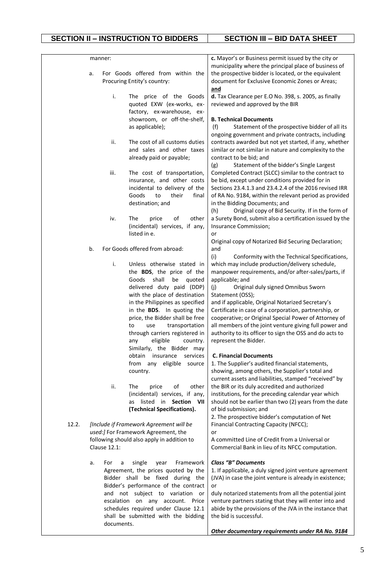|       |    | manner:      |                                                                     | c. Mayor's or Business permit issued by the city or                                                               |
|-------|----|--------------|---------------------------------------------------------------------|-------------------------------------------------------------------------------------------------------------------|
|       |    |              |                                                                     | municipality where the principal place of business of                                                             |
|       | a. |              | For Goods offered from within the                                   | the prospective bidder is located, or the equivalent                                                              |
|       |    |              | Procuring Entity's country:                                         | document for Exclusive Economic Zones or Areas;                                                                   |
|       |    |              |                                                                     | and                                                                                                               |
|       |    | i.           | The price of the Goods                                              | d. Tax Clearance per E.O No. 398, s. 2005, as finally                                                             |
|       |    |              | quoted EXW (ex-works, ex-                                           | reviewed and approved by the BIR                                                                                  |
|       |    |              | factory, ex-warehouse, ex-<br>showroom, or off-the-shelf,           | <b>B. Technical Documents</b>                                                                                     |
|       |    |              | as applicable);                                                     | Statement of the prospective bidder of all its<br>(f)                                                             |
|       |    |              |                                                                     | ongoing government and private contracts, including                                                               |
|       |    | ii.          | The cost of all customs duties                                      | contracts awarded but not yet started, if any, whether                                                            |
|       |    |              | and sales and other taxes                                           | similar or not similar in nature and complexity to the                                                            |
|       |    |              | already paid or payable;                                            | contract to be bid; and                                                                                           |
|       |    |              |                                                                     | (g)<br>Statement of the bidder's Single Largest                                                                   |
|       |    | iii.         | The cost of transportation,                                         | Completed Contract (SLCC) similar to the contract to                                                              |
|       |    |              | insurance, and other costs                                          | be bid, except under conditions provided for in                                                                   |
|       |    |              | incidental to delivery of the                                       | Sections 23.4.1.3 and 23.4.2.4 of the 2016 revised IRR                                                            |
|       |    |              | Goods<br>their<br>to<br>final                                       | of RA No. 9184, within the relevant period as provided                                                            |
|       |    |              | destination; and                                                    | in the Bidding Documents; and                                                                                     |
|       |    |              |                                                                     | Original copy of Bid Security. If in the form of<br>(h)                                                           |
|       |    | iv.          | of<br>other<br>The<br>price<br>(incidental) services, if any,       | a Surety Bond, submit also a certification issued by the<br>Insurance Commission;                                 |
|       |    |              | listed in e.                                                        | or                                                                                                                |
|       |    |              |                                                                     | Original copy of Notarized Bid Securing Declaration;                                                              |
|       | b. |              | For Goods offered from abroad:                                      | and                                                                                                               |
|       |    |              |                                                                     | (i)<br>Conformity with the Technical Specifications,                                                              |
|       |    | i.           | Unless otherwise stated in                                          | which may include production/delivery schedule,                                                                   |
|       |    |              | the BDS, the price of the                                           | manpower requirements, and/or after-sales/parts, if                                                               |
|       |    |              | shall<br>Goods<br>be<br>quoted                                      | applicable; and                                                                                                   |
|       |    |              | delivered duty paid (DDP)                                           | (i)<br>Original duly signed Omnibus Sworn                                                                         |
|       |    |              | with the place of destination                                       | Statement (OSS);                                                                                                  |
|       |    |              | in the Philippines as specified                                     | and if applicable, Original Notarized Secretary's                                                                 |
|       |    |              | in the BDS. In quoting the                                          | Certificate in case of a corporation, partnership, or                                                             |
|       |    |              | price, the Bidder shall be free                                     | cooperative; or Original Special Power of Attorney of                                                             |
|       |    |              | transportation<br>to<br>use<br>through carriers registered in       | all members of the joint venture giving full power and<br>authority to its officer to sign the OSS and do acts to |
|       |    |              | eligible<br>country.<br>any                                         | represent the Bidder.                                                                                             |
|       |    |              | Similarly, the Bidder may                                           |                                                                                                                   |
|       |    |              | obtain insurance<br>services                                        | <b>C. Financial Documents</b>                                                                                     |
|       |    |              | from any eligible source                                            | 1. The Supplier's audited financial statements,                                                                   |
|       |    |              | country.                                                            | showing, among others, the Supplier's total and                                                                   |
|       |    |              |                                                                     | current assets and liabilities, stamped "received" by                                                             |
|       |    | ii.          | of<br>other<br>The<br>price                                         | the BIR or its duly accredited and authorized                                                                     |
|       |    |              | (incidental) services, if any,                                      | institutions, for the preceding calendar year which                                                               |
|       |    |              | Section VII<br>listed<br>in<br>as.                                  | should not be earlier than two (2) years from the date                                                            |
|       |    |              | (Technical Specifications).                                         | of bid submission; and                                                                                            |
| 12.2. |    |              | [Include if Framework Agreement will be                             | 2. The prospective bidder's computation of Net<br>Financial Contracting Capacity (NFCC);                          |
|       |    |              | used:] For Framework Agreement, the                                 | or                                                                                                                |
|       |    |              | following should also apply in addition to                          | A committed Line of Credit from a Universal or                                                                    |
|       |    | Clause 12.1: |                                                                     | Commercial Bank in lieu of its NFCC computation.                                                                  |
|       |    |              |                                                                     |                                                                                                                   |
|       | a. | For<br>a     | single<br>Framework<br>year                                         | <b>Class "B" Documents</b>                                                                                        |
|       |    |              | Agreement, the prices quoted by the                                 | 1. If applicable, a duly signed joint venture agreement                                                           |
|       |    |              | Bidder shall be fixed during the                                    | (JVA) in case the joint venture is already in existence;                                                          |
|       |    |              | Bidder's performance of the contract                                | or                                                                                                                |
|       |    |              | and not subject to variation or<br>escalation on any account. Price | duly notarized statements from all the potential joint<br>venture partners stating that they will enter into and  |
|       |    |              | schedules required under Clause 12.1                                | abide by the provisions of the JVA in the instance that                                                           |
|       |    |              | shall be submitted with the bidding                                 | the bid is successful.                                                                                            |
|       |    | documents.   |                                                                     |                                                                                                                   |
|       |    |              |                                                                     | Other documentary requirements under RA No. 9184                                                                  |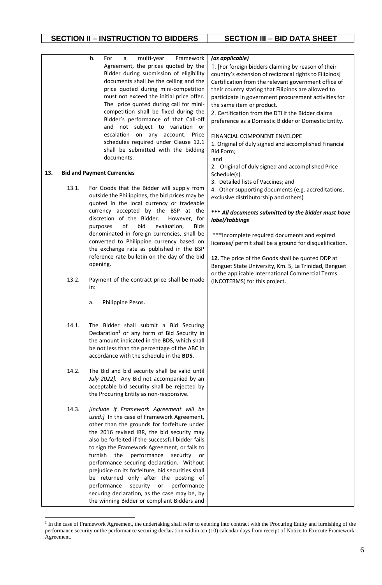### **SECTION II – INSTRUCTION TO BIDDERS SECTION III – BID DATA SHEET**

|     |       | b.<br>Framework<br>For<br>multi-year<br>a<br>Agreement, the prices quoted by the<br>Bidder during submission of eligibility<br>documents shall be the ceiling and the<br>price quoted during mini-competition<br>must not exceed the initial price offer.<br>The price quoted during call for mini-<br>competition shall be fixed during the<br>Bidder's performance of that Call-off<br>and not subject to variation or                                                                                                                                                                                                            | (as applicable)<br>1. [For foreign bidders claiming by reason of their<br>country's extension of reciprocal rights to Filipinos]<br>Certification from the relevant government office of<br>their country stating that Filipinos are allowed to<br>participate in government procurement activities for<br>the same item or product.<br>2. Certification from the DTI if the Bidder claims<br>preference as a Domestic Bidder or Domestic Entity. |
|-----|-------|-------------------------------------------------------------------------------------------------------------------------------------------------------------------------------------------------------------------------------------------------------------------------------------------------------------------------------------------------------------------------------------------------------------------------------------------------------------------------------------------------------------------------------------------------------------------------------------------------------------------------------------|---------------------------------------------------------------------------------------------------------------------------------------------------------------------------------------------------------------------------------------------------------------------------------------------------------------------------------------------------------------------------------------------------------------------------------------------------|
|     |       | escalation on any account. Price<br>schedules required under Clause 12.1<br>shall be submitted with the bidding<br>documents.                                                                                                                                                                                                                                                                                                                                                                                                                                                                                                       | FINANCIAL COMPONENT ENVELOPE<br>1. Original of duly signed and accomplished Financial<br>Bid Form;<br>and                                                                                                                                                                                                                                                                                                                                         |
| 13. |       | <b>Bid and Payment Currencies</b>                                                                                                                                                                                                                                                                                                                                                                                                                                                                                                                                                                                                   | 2. Original of duly signed and accomplished Price<br>Schedule(s).                                                                                                                                                                                                                                                                                                                                                                                 |
|     | 13.1. | For Goods that the Bidder will supply from<br>outside the Philippines, the bid prices may be<br>quoted in the local currency or tradeable                                                                                                                                                                                                                                                                                                                                                                                                                                                                                           | 3. Detailed lists of Vaccines; and<br>4. Other supporting documents (e.g. accreditations,<br>exclusive distributorship and others)                                                                                                                                                                                                                                                                                                                |
|     |       | currency accepted by the BSP at the<br>discretion of the Bidder.<br>However, for<br>of<br>bid<br>evaluation,<br><b>Bids</b><br>purposes                                                                                                                                                                                                                                                                                                                                                                                                                                                                                             | *** All documents submitted by the bidder must have<br>label/tabbings                                                                                                                                                                                                                                                                                                                                                                             |
|     |       | denominated in foreign currencies, shall be<br>converted to Philippine currency based on<br>the exchange rate as published in the BSP<br>reference rate bulletin on the day of the bid                                                                                                                                                                                                                                                                                                                                                                                                                                              | *** Incomplete required documents and expired<br>licenses/ permit shall be a ground for disqualification.<br>12. The price of the Goods shall be quoted DDP at                                                                                                                                                                                                                                                                                    |
|     | 13.2. | opening.<br>Payment of the contract price shall be made                                                                                                                                                                                                                                                                                                                                                                                                                                                                                                                                                                             | Benguet State University, Km. 5, La Trinidad, Benguet<br>or the applicable International Commercial Terms<br>(INCOTERMS) for this project.                                                                                                                                                                                                                                                                                                        |
|     |       | in:<br>Philippine Pesos.<br>a.                                                                                                                                                                                                                                                                                                                                                                                                                                                                                                                                                                                                      |                                                                                                                                                                                                                                                                                                                                                                                                                                                   |
|     | 14.1. | The Bidder shall submit a Bid Securing<br>Declaration <sup>1</sup> or any form of Bid Security in<br>the amount indicated in the BDS, which shall<br>be not less than the percentage of the ABC in<br>accordance with the schedule in the BDS.                                                                                                                                                                                                                                                                                                                                                                                      |                                                                                                                                                                                                                                                                                                                                                                                                                                                   |
|     | 14.2. | The Bid and bid security shall be valid until<br>July 2022]. Any Bid not accompanied by an<br>acceptable bid security shall be rejected by<br>the Procuring Entity as non-responsive.                                                                                                                                                                                                                                                                                                                                                                                                                                               |                                                                                                                                                                                                                                                                                                                                                                                                                                                   |
|     | 14.3. | [Include if Framework Agreement will be<br>used:] In the case of Framework Agreement,<br>other than the grounds for forfeiture under<br>the 2016 revised IRR, the bid security may<br>also be forfeited if the successful bidder fails<br>to sign the Framework Agreement, or fails to<br>performance<br>furnish<br>the<br>security<br>or<br>performance securing declaration. Without<br>prejudice on its forfeiture, bid securities shall<br>be returned only after the posting of<br>performance<br>performance<br>security<br>or<br>securing declaration, as the case may be, by<br>the winning Bidder or compliant Bidders and |                                                                                                                                                                                                                                                                                                                                                                                                                                                   |

<sup>&</sup>lt;sup>1</sup> In the case of Framework Agreement, the undertaking shall refer to entering into contract with the Procuring Entity and furnishing of the performance security or the performance securing declaration within ten (10) calendar days from receipt of Notice to Execute Framework Agreement.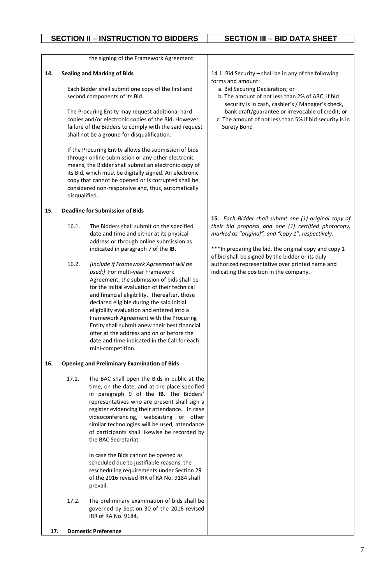the signing of the Framework Agreement.

#### **14. Sealing and Marking of Bids**

Each Bidder shall submit one copy of the first and second components of its Bid.

The Procuring Entity may request additional hard copies and/or electronic copies of the Bid. However, failure of the Bidders to comply with the said request shall not be a ground for disqualification.

If the Procuring Entity allows the submission of bids through online submission or any other electronic means, the Bidder shall submit an electronic copy of its Bid, which must be digitally signed. An electronic copy that cannot be opened or is corrupted shall be considered non-responsive and, thus, automatically disqualified.

### **15. Deadline for Submission of Bids**

- 16.1. The Bidders shall submit on the specified date and time and either at its physical address or through online submission as indicated in paragraph 7 of the **IB.**
- 16.2. *[Include if Framework Agreement will be used:]* For multi-year Framework Agreement, the submission of bids shall be for the initial evaluation of their technical and financial eligibility. Thereafter, those declared eligible during the said initial eligibility evaluation and entered into a Framework Agreement with the Procuring Entity shall submit anew their best financial offer at the address and on or before the date and time indicated in the Call for each mini-competition.

### **16. Opening and Preliminary Examination of Bids**

17.1. The BAC shall open the Bids in public at the time, on the date, and at the place specified in paragraph 9 of the **IB**. The Bidders' representatives who are present shall sign a register evidencing their attendance. In case videoconferencing, webcasting or other similar technologies will be used, attendance of participants shall likewise be recorded by the BAC Secretariat.

> In case the Bids cannot be opened as scheduled due to justifiable reasons, the rescheduling requirements under Section 29 of the 2016 revised IRR of RA No. 9184 shall prevail.

17.2. The preliminary examination of bids shall be governed by Section 30 of the 2016 revised IRR of RA No. 9184.

**17. Domestic Preference**

14.1. Bid Security – shall be in any of the following forms and amount:

- a. Bid Securing Declaration; or
- b. The amount of not less than 2% of ABC, if bid security is in cash, cashier's / Manager's check, bank draft/guarantee or irrevocable of credit; or
- c. The amount of not less than 5% if bid security is in Surety Bond

**15.** *Each Bidder shall submit one (1) original copy of their bid proposal and one (1) certified photocopy, marked as "original", and "copy 1", respectively.*

\*\*\*In preparing the bid, the original copy and copy 1 of bid shall be signed by the bidder or its duly authorized representative over printed name and indicating the position in the company.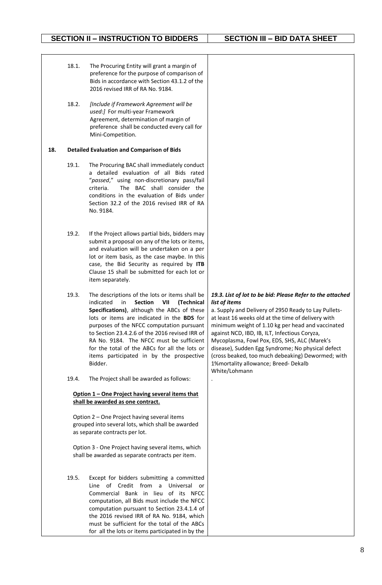**SECTION II – INSTRUCTION TO BIDDERS SECTION III – BID DATA SHEET**

|     | 18.1. | The Procuring Entity will grant a margin of<br>preference for the purpose of comparison of<br>Bids in accordance with Section 43.1.2 of the<br>2016 revised IRR of RA No. 9184.                                                                                                                                                                                                                                                                          |                                                                                                                                                                                                                                                                                                                                                                                                                                                                                                                  |
|-----|-------|----------------------------------------------------------------------------------------------------------------------------------------------------------------------------------------------------------------------------------------------------------------------------------------------------------------------------------------------------------------------------------------------------------------------------------------------------------|------------------------------------------------------------------------------------------------------------------------------------------------------------------------------------------------------------------------------------------------------------------------------------------------------------------------------------------------------------------------------------------------------------------------------------------------------------------------------------------------------------------|
|     | 18.2. | [Include if Framework Agreement will be<br>used:] For multi-year Framework<br>Agreement, determination of margin of<br>preference shall be conducted every call for<br>Mini-Competition.                                                                                                                                                                                                                                                                 |                                                                                                                                                                                                                                                                                                                                                                                                                                                                                                                  |
| 18. |       | <b>Detailed Evaluation and Comparison of Bids</b>                                                                                                                                                                                                                                                                                                                                                                                                        |                                                                                                                                                                                                                                                                                                                                                                                                                                                                                                                  |
|     | 19.1. | The Procuring BAC shall immediately conduct<br>a detailed evaluation of all Bids rated<br>"passed," using non-discretionary pass/fail<br>The BAC shall consider the<br>criteria.<br>conditions in the evaluation of Bids under<br>Section 32.2 of the 2016 revised IRR of RA<br>No. 9184.                                                                                                                                                                |                                                                                                                                                                                                                                                                                                                                                                                                                                                                                                                  |
|     | 19.2. | If the Project allows partial bids, bidders may<br>submit a proposal on any of the lots or items,<br>and evaluation will be undertaken on a per<br>lot or item basis, as the case maybe. In this<br>case, the Bid Security as required by ITB<br>Clause 15 shall be submitted for each lot or<br>item separately.                                                                                                                                        |                                                                                                                                                                                                                                                                                                                                                                                                                                                                                                                  |
|     | 19.3. | The descriptions of the lots or items shall be<br>indicated<br><b>Section</b><br>VII<br>(Technical<br>in<br>Specifications), although the ABCs of these<br>lots or items are indicated in the BDS for<br>purposes of the NFCC computation pursuant<br>to Section 23.4.2.6 of the 2016 revised IRR of<br>RA No. 9184. The NFCC must be sufficient<br>for the total of the ABCs for all the lots or<br>items participated in by the prospective<br>Bidder. | 19.3. List of lot to be bid: Please Refer to the attached<br>list of items<br>a. Supply and Delivery of 2950 Ready to Lay Pullets-<br>at least 16 weeks old at the time of delivery with<br>minimum weight of 1.10 kg per head and vaccinated<br>against NCD, IBD, IB, ILT, Infectious Coryza,<br>Mycoplasma, Fowl Pox, EDS, SHS, ALC (Marek's<br>disease), Sudden Egg Syndrome; No physical defect<br>(cross beaked, too much debeaking) Dewormed; with<br>1%mortality allowance; Breed-Dekalb<br>White/Lohmann |
|     | 19.4. | The Project shall be awarded as follows:                                                                                                                                                                                                                                                                                                                                                                                                                 |                                                                                                                                                                                                                                                                                                                                                                                                                                                                                                                  |
|     |       | Option 1 - One Project having several items that<br>shall be awarded as one contract.                                                                                                                                                                                                                                                                                                                                                                    |                                                                                                                                                                                                                                                                                                                                                                                                                                                                                                                  |
|     |       | Option 2 - One Project having several items<br>grouped into several lots, which shall be awarded<br>as separate contracts per lot.                                                                                                                                                                                                                                                                                                                       |                                                                                                                                                                                                                                                                                                                                                                                                                                                                                                                  |
|     |       | Option 3 - One Project having several items, which<br>shall be awarded as separate contracts per item.                                                                                                                                                                                                                                                                                                                                                   |                                                                                                                                                                                                                                                                                                                                                                                                                                                                                                                  |
|     | 19.5. | Except for bidders submitting a committed<br>Line of Credit from a<br>Universal or<br>Commercial Bank in lieu of its NFCC<br>computation, all Bids must include the NFCC<br>computation pursuant to Section 23.4.1.4 of<br>the 2016 revised IRR of RA No. 9184, which                                                                                                                                                                                    |                                                                                                                                                                                                                                                                                                                                                                                                                                                                                                                  |

must be sufficient for the total of the ABCs for all the lots or items participated in by the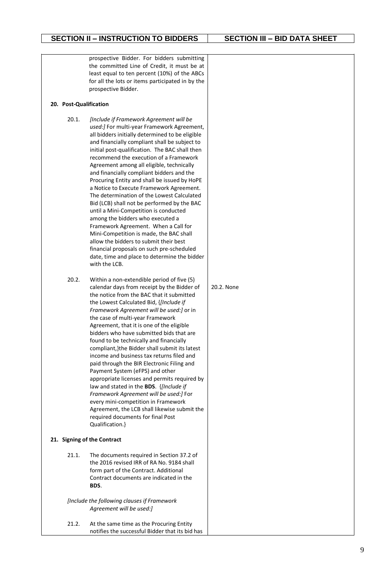|                        | prospective Bidder. For bidders submitting<br>the committed Line of Credit, it must be at       |            |
|------------------------|-------------------------------------------------------------------------------------------------|------------|
|                        | least equal to ten percent (10%) of the ABCs                                                    |            |
|                        | for all the lots or items participated in by the<br>prospective Bidder.                         |            |
| 20. Post-Qualification |                                                                                                 |            |
| 20.1.                  | [Include if Framework Agreement will be                                                         |            |
|                        | used:] For multi-year Framework Agreement,                                                      |            |
|                        | all bidders initially determined to be eligible                                                 |            |
|                        | and financially compliant shall be subject to<br>initial post-qualification. The BAC shall then |            |
|                        | recommend the execution of a Framework                                                          |            |
|                        | Agreement among all eligible, technically                                                       |            |
|                        | and financially compliant bidders and the<br>Procuring Entity and shall be issued by HoPE       |            |
|                        | a Notice to Execute Framework Agreement.                                                        |            |
|                        | The determination of the Lowest Calculated                                                      |            |
|                        | Bid (LCB) shall not be performed by the BAC<br>until a Mini-Competition is conducted            |            |
|                        | among the bidders who executed a                                                                |            |
|                        | Framework Agreement. When a Call for<br>Mini-Competition is made, the BAC shall                 |            |
|                        | allow the bidders to submit their best                                                          |            |
|                        | financial proposals on such pre-scheduled                                                       |            |
|                        | date, time and place to determine the bidder<br>with the LCB.                                   |            |
| 20.2.                  | Within a non-extendible period of five (5)                                                      |            |
|                        | calendar days from receipt by the Bidder of<br>the notice from the BAC that it submitted        | 20.2. None |
|                        | the Lowest Calculated Bid, {[Include if                                                         |            |
|                        | Framework Agreement will be used:] or in                                                        |            |
|                        | the case of multi-year Framework<br>Agreement, that it is one of the eligible                   |            |
|                        | bidders who have submitted bids that are                                                        |            |
|                        | found to be technically and financially                                                         |            |
|                        | compliant, }the Bidder shall submit its latest<br>income and business tax returns filed and     |            |
|                        | paid through the BIR Electronic Filing and                                                      |            |
|                        | Payment System (eFPS) and other<br>appropriate licenses and permits required by                 |            |
|                        | law and stated in the BDS. {[Include if                                                         |            |
|                        | Framework Agreement will be used:] For                                                          |            |
|                        | every mini-competition in Framework<br>Agreement, the LCB shall likewise submit the             |            |
|                        | required documents for final Post                                                               |            |
|                        | Qualification.}                                                                                 |            |
|                        | 21. Signing of the Contract                                                                     |            |
| 21.1.                  | The documents required in Section 37.2 of                                                       |            |
|                        | the 2016 revised IRR of RA No. 9184 shall<br>form part of the Contract. Additional              |            |
|                        | Contract documents are indicated in the                                                         |            |
|                        | BDS.                                                                                            |            |
|                        | [Include the following clauses if Framework                                                     |            |
|                        | Agreement will be used:]                                                                        |            |
| 21.2.                  | At the same time as the Procuring Entity                                                        |            |
|                        | notifies the successful Bidder that its bid has                                                 |            |